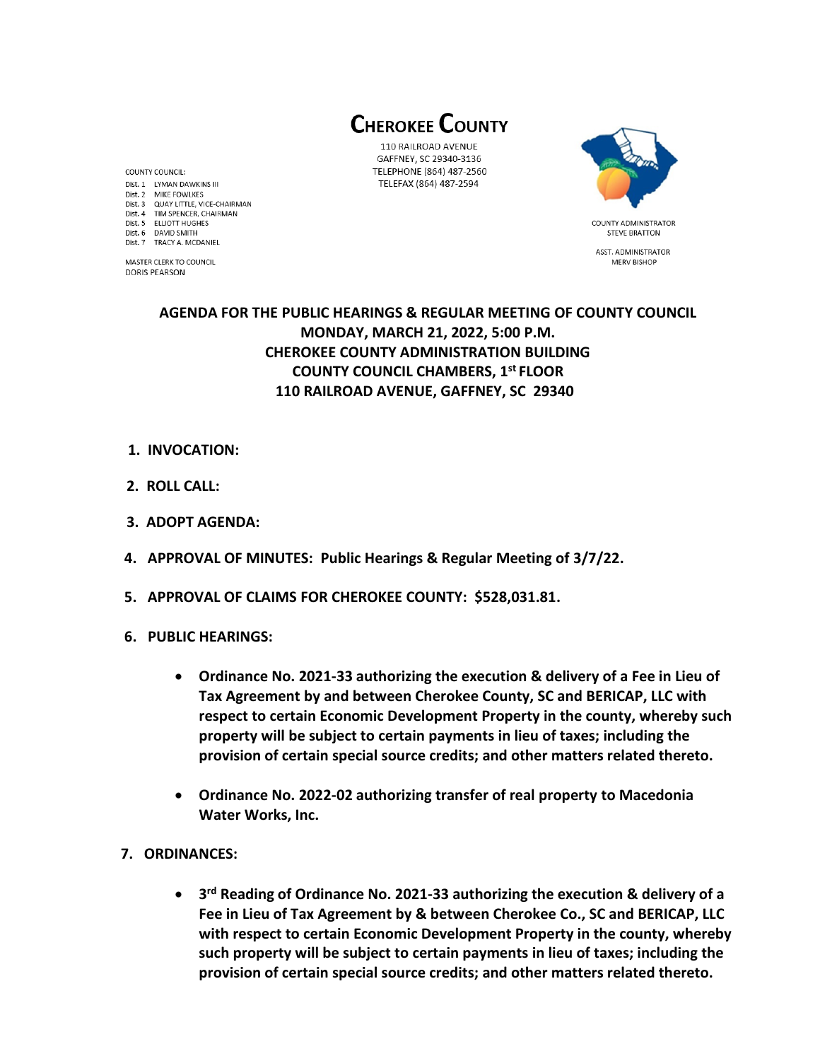**CHEROKEE COUNTY** 

110 RAILROAD AVENUE GAFFNEY, SC 29340-3136 TELEPHONE (864) 487-2560 TELEFAX (864) 487-2594



**STEVE BRATTON** ASST. ADMINISTRATOR **MERV BISHOP** 

## **AGENDA FOR THE PUBLIC HEARINGS & REGULAR MEETING OF COUNTY COUNCIL MONDAY, MARCH 21, 2022, 5:00 P.M. CHEROKEE COUNTY ADMINISTRATION BUILDING COUNTY COUNCIL CHAMBERS, 1 st FLOOR 110 RAILROAD AVENUE, GAFFNEY, SC 29340**

- **1. INVOCATION:**
- **2. ROLL CALL:**

COUNTY COUNCIL: Dist. 1 LYMAN DAWKINS III

Dist. 2 MIKE FOWLKES Dist. 3 QUAY LITTLE, VICE-CHAIRMAN Dist. 4 TIM SPENCER, CHAIRMAN Dist. 5 ELLIOTT HUGHES

Dist. 6 DAVID SMITH

**DORIS PEARSON** 

Dist. 7 TRACY A. MCDANIEL

MASTER CLERK TO COUNCIL

- **3. ADOPT AGENDA:**
- **4. APPROVAL OF MINUTES: Public Hearings & Regular Meeting of 3/7/22.**
- **5. APPROVAL OF CLAIMS FOR CHEROKEE COUNTY: \$528,031.81.**
- **6. PUBLIC HEARINGS:** 
	- **Ordinance No. 2021-33 authorizing the execution & delivery of a Fee in Lieu of Tax Agreement by and between Cherokee County, SC and BERICAP, LLC with respect to certain Economic Development Property in the county, whereby such property will be subject to certain payments in lieu of taxes; including the provision of certain special source credits; and other matters related thereto.**
	- **Ordinance No. 2022-02 authorizing transfer of real property to Macedonia Water Works, Inc.**
- **7. ORDINANCES:** 
	- **3 rd Reading of Ordinance No. 2021-33 authorizing the execution & delivery of a Fee in Lieu of Tax Agreement by & between Cherokee Co., SC and BERICAP, LLC with respect to certain Economic Development Property in the county, whereby such property will be subject to certain payments in lieu of taxes; including the provision of certain special source credits; and other matters related thereto.**